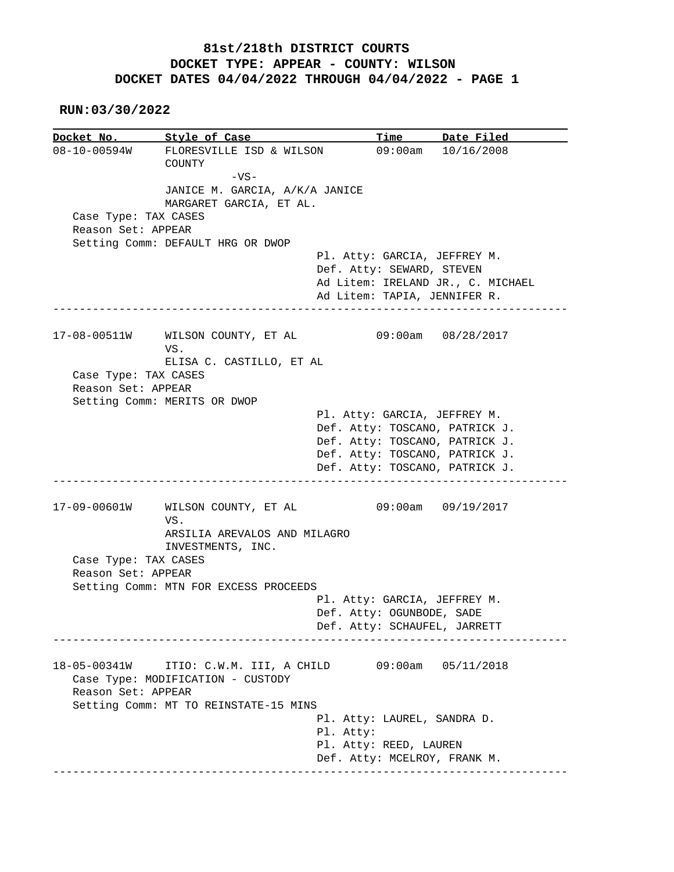**RUN:03/30/2022**

**Docket No. Style of Case Time Date Filed**  08-10-00594W FLORESVILLE ISD & WILSON 09:00am 10/16/2008 COUNTY -VS- JANICE M. GARCIA, A/K/A JANICE MARGARET GARCIA, ET AL. Case Type: TAX CASES Reason Set: APPEAR Setting Comm: DEFAULT HRG OR DWOP Pl. Atty: GARCIA, JEFFREY M. Def. Atty: SEWARD, STEVEN Ad Litem: IRELAND JR., C. MICHAEL Ad Litem: TAPIA, JENNIFER R. ------------------------------------------------------------------------------ 17-08-00511W WILSON COUNTY, ET AL 09:00am 08/28/2017 VS. ELISA C. CASTILLO, ET AL Case Type: TAX CASES Reason Set: APPEAR Setting Comm: MERITS OR DWOP Pl. Atty: GARCIA, JEFFREY M. Def. Atty: TOSCANO, PATRICK J. Def. Atty: TOSCANO, PATRICK J. Def. Atty: TOSCANO, PATRICK J. Def. Atty: TOSCANO, PATRICK J. ------------------------------------------------------------------------------ 17-09-00601W WILSON COUNTY, ET AL 09:00am 09/19/2017 VS. ARSILIA AREVALOS AND MILAGRO INVESTMENTS, INC. Case Type: TAX CASES Reason Set: APPEAR Setting Comm: MTN FOR EXCESS PROCEEDS Pl. Atty: GARCIA, JEFFREY M. Def. Atty: OGUNBODE, SADE Def. Atty: SCHAUFEL, JARRETT ------------------------------------------------------------------------------ 18-05-00341W ITIO: C.W.M. III, A CHILD 09:00am 05/11/2018 Case Type: MODIFICATION - CUSTODY Reason Set: APPEAR Setting Comm: MT TO REINSTATE-15 MINS Pl. Atty: LAUREL, SANDRA D. Pl. Atty: Pl. Atty: REED, LAUREN Def. Atty: MCELROY, FRANK M. ------------------------------------------------------------------------------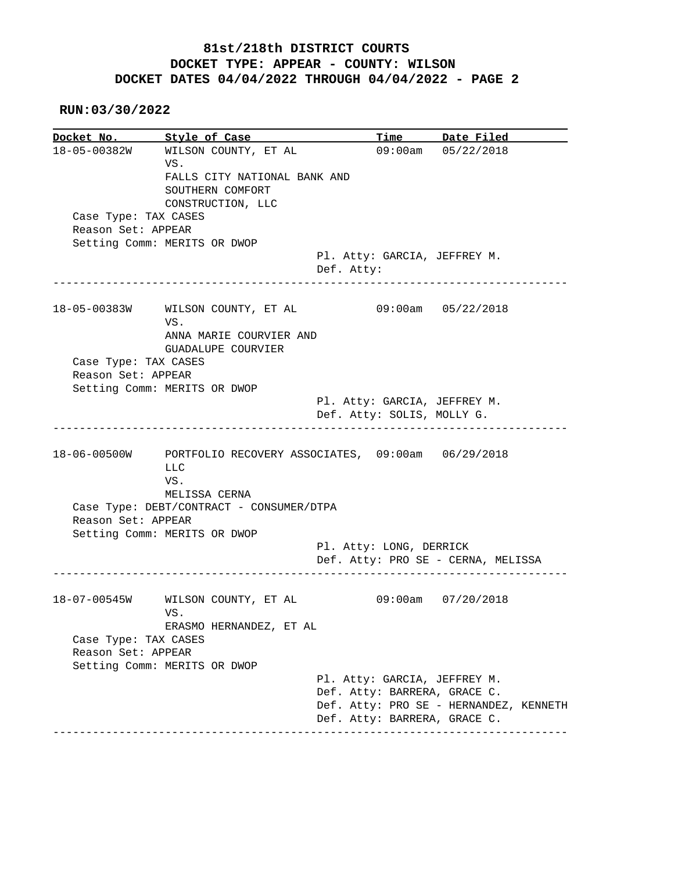**RUN:03/30/2022**

**Docket No. Style of Case Time Date Filed**  18-05-00382W WILSON COUNTY, ET AL 09:00am 05/22/2018 VS. FALLS CITY NATIONAL BANK AND SOUTHERN COMFORT CONSTRUCTION, LLC Case Type: TAX CASES Reason Set: APPEAR Setting Comm: MERITS OR DWOP Pl. Atty: GARCIA, JEFFREY M. Def. Atty: ------------------------------------------------------------------------------ 18-05-00383W WILSON COUNTY, ET AL 09:00am 05/22/2018 VS. ANNA MARIE COURVIER AND GUADALUPE COURVIER Case Type: TAX CASES Reason Set: APPEAR Setting Comm: MERITS OR DWOP Pl. Atty: GARCIA, JEFFREY M. Def. Atty: SOLIS, MOLLY G. ------------------------------------------------------------------------------ 18-06-00500W PORTFOLIO RECOVERY ASSOCIATES, 09:00am 06/29/2018 LLC VS. MELISSA CERNA Case Type: DEBT/CONTRACT - CONSUMER/DTPA Reason Set: APPEAR Setting Comm: MERITS OR DWOP Pl. Atty: LONG, DERRICK Def. Atty: PRO SE - CERNA, MELISSA ------------------------------------------------------------------------------ 18-07-00545W WILSON COUNTY, ET AL 09:00am 07/20/2018 VS. ERASMO HERNANDEZ, ET AL Case Type: TAX CASES Reason Set: APPEAR Setting Comm: MERITS OR DWOP Pl. Atty: GARCIA, JEFFREY M. Def. Atty: BARRERA, GRACE C. Def. Atty: PRO SE - HERNANDEZ, KENNETH Def. Atty: BARRERA, GRACE C. ------------------------------------------------------------------------------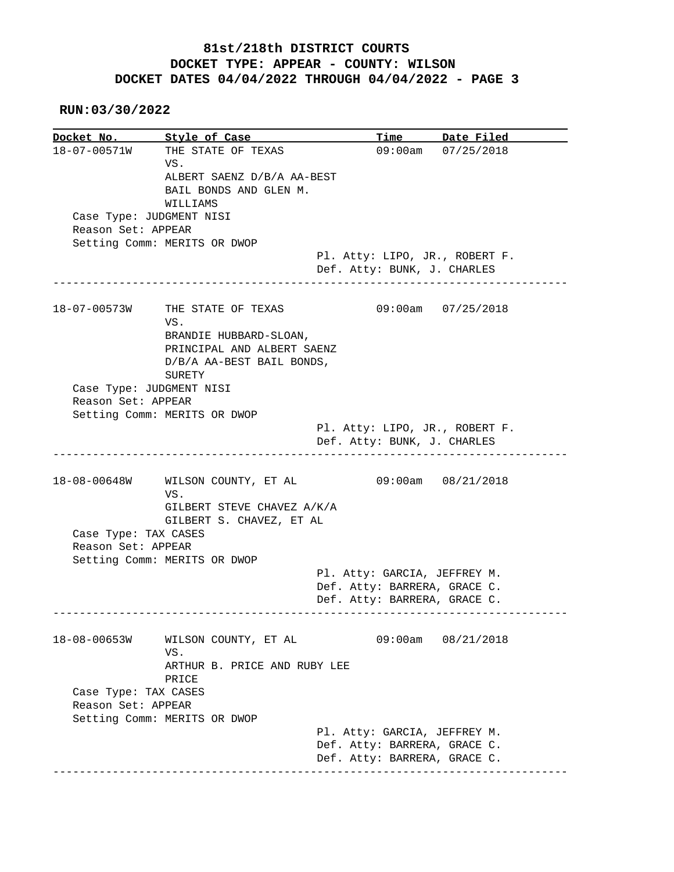**RUN:03/30/2022**

**Docket No. Style of Case Time Date Filed**  18-07-00571W THE STATE OF TEXAS 09:00am 07/25/2018 VS. ALBERT SAENZ D/B/A AA-BEST BAIL BONDS AND GLEN M. WILLIAMS Case Type: JUDGMENT NISI Reason Set: APPEAR Setting Comm: MERITS OR DWOP Pl. Atty: LIPO, JR., ROBERT F. Def. Atty: BUNK, J. CHARLES ------------------------------------------------------------------------------ 18-07-00573W THE STATE OF TEXAS 09:00am 07/25/2018 VS. BRANDIE HUBBARD-SLOAN, PRINCIPAL AND ALBERT SAENZ D/B/A AA-BEST BAIL BONDS, SURETY Case Type: JUDGMENT NISI Reason Set: APPEAR Setting Comm: MERITS OR DWOP Pl. Atty: LIPO, JR., ROBERT F. Def. Atty: BUNK, J. CHARLES ------------------------------------------------------------------------------ 18-08-00648W WILSON COUNTY, ET AL 09:00am 08/21/2018 VS. GILBERT STEVE CHAVEZ A/K/A GILBERT S. CHAVEZ, ET AL Case Type: TAX CASES Reason Set: APPEAR Setting Comm: MERITS OR DWOP Pl. Atty: GARCIA, JEFFREY M. Def. Atty: BARRERA, GRACE C. Def. Atty: BARRERA, GRACE C. ------------------------------------------------------------------------------ 18-08-00653W WILSON COUNTY, ET AL 09:00am 08/21/2018 VS. ARTHUR B. PRICE AND RUBY LEE PRICE Case Type: TAX CASES Reason Set: APPEAR Setting Comm: MERITS OR DWOP Pl. Atty: GARCIA, JEFFREY M. Def. Atty: BARRERA, GRACE C. Def. Atty: BARRERA, GRACE C. ------------------------------------------------------------------------------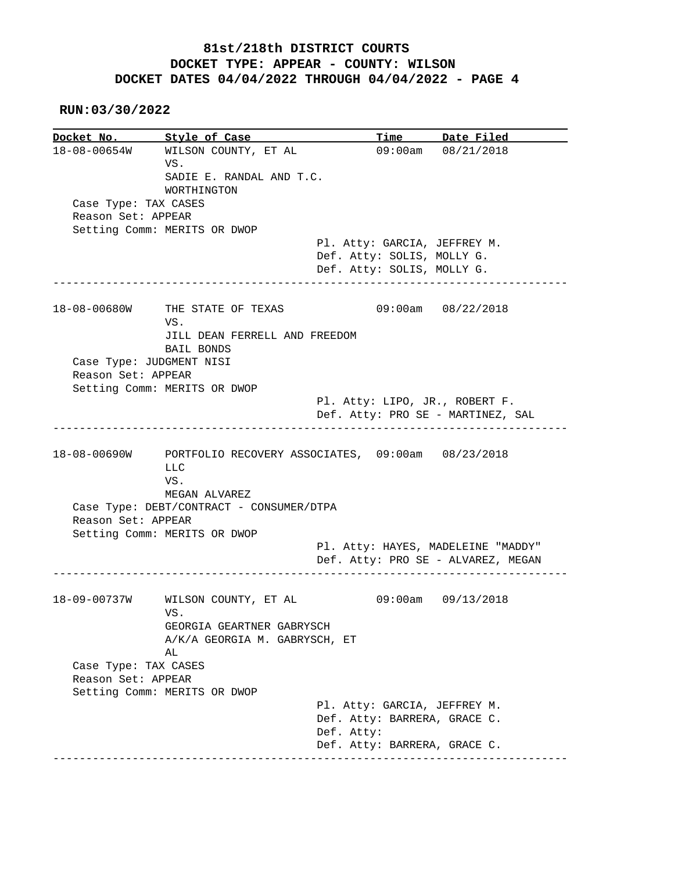**RUN:03/30/2022**

Docket No. Style of Case Docket No. Style of Case Time Date Filed<br>18-08-00654W WILSON COUNTY, ET AL 09:00am 08/21/2018 VS. SADIE E. RANDAL AND T.C. WORTHINGTON Case Type: TAX CASES Reason Set: APPEAR Setting Comm: MERITS OR DWOP Pl. Atty: GARCIA, JEFFREY M. Def. Atty: SOLIS, MOLLY G. Def. Atty: SOLIS, MOLLY G. ------------------------------------------------------------------------------ 18-08-00680W THE STATE OF TEXAS 09:00am 08/22/2018 VS. JILL DEAN FERRELL AND FREEDOM BAIL BONDS Case Type: JUDGMENT NISI Reason Set: APPEAR Setting Comm: MERITS OR DWOP Pl. Atty: LIPO, JR., ROBERT F. Def. Atty: PRO SE - MARTINEZ, SAL ------------------------------------------------------------------------------ 18-08-00690W PORTFOLIO RECOVERY ASSOCIATES, 09:00am 08/23/2018 LLC VS. MEGAN ALVAREZ Case Type: DEBT/CONTRACT - CONSUMER/DTPA Reason Set: APPEAR Setting Comm: MERITS OR DWOP Pl. Atty: HAYES, MADELEINE "MADDY" Def. Atty: PRO SE - ALVAREZ, MEGAN ------------------------------------------------------------------------------ 18-09-00737W WILSON COUNTY, ET AL 09:00am 09/13/2018 VS. GEORGIA GEARTNER GABRYSCH A/K/A GEORGIA M. GABRYSCH, ET AL Case Type: TAX CASES Reason Set: APPEAR Setting Comm: MERITS OR DWOP Pl. Atty: GARCIA, JEFFREY M. Def. Atty: BARRERA, GRACE C. Def. Atty: Def. Atty: BARRERA, GRACE C. ------------------------------------------------------------------------------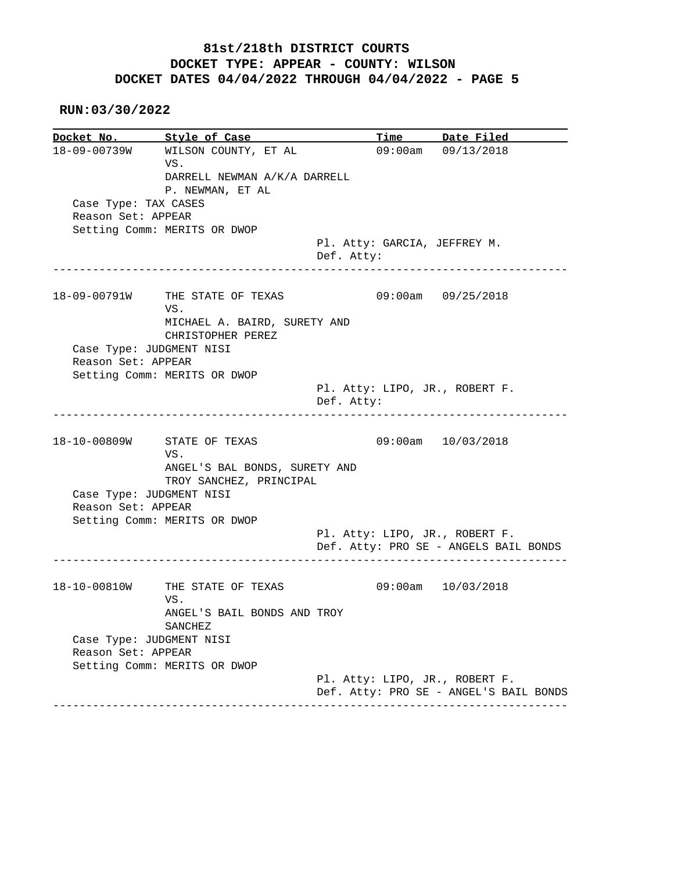**RUN:03/30/2022**

**Docket No. Style of Case**<br>18-09-00739W WILSON COUNTY, ET AL Docket No. Style of Case Time Date Filed<br>18-09-00739W WILSON COUNTY, ET AL 09:00am 09/13/2018 VS. DARRELL NEWMAN A/K/A DARRELL P. NEWMAN, ET AL Case Type: TAX CASES Reason Set: APPEAR Setting Comm: MERITS OR DWOP Pl. Atty: GARCIA, JEFFREY M. Def. Atty: ------------------------------------------------------------------------------ 18-09-00791W THE STATE OF TEXAS 09:00am 09/25/2018 VS. MICHAEL A. BAIRD, SURETY AND CHRISTOPHER PEREZ Case Type: JUDGMENT NISI Reason Set: APPEAR Setting Comm: MERITS OR DWOP Pl. Atty: LIPO, JR., ROBERT F. Def. Atty: ------------------------------------------------------------------------------ 18-10-00809W STATE OF TEXAS 09:00am 10/03/2018 VS. ANGEL'S BAL BONDS, SURETY AND TROY SANCHEZ, PRINCIPAL Case Type: JUDGMENT NISI Reason Set: APPEAR Setting Comm: MERITS OR DWOP Pl. Atty: LIPO, JR., ROBERT F. Def. Atty: PRO SE - ANGELS BAIL BONDS ------------------------------------------------------------------------------ 18-10-00810W THE STATE OF TEXAS 09:00am 10/03/2018 VS. ANGEL'S BAIL BONDS AND TROY SANCHEZ Case Type: JUDGMENT NISI Reason Set: APPEAR Setting Comm: MERITS OR DWOP Pl. Atty: LIPO, JR., ROBERT F. Def. Atty: PRO SE - ANGEL'S BAIL BONDS ------------------------------------------------------------------------------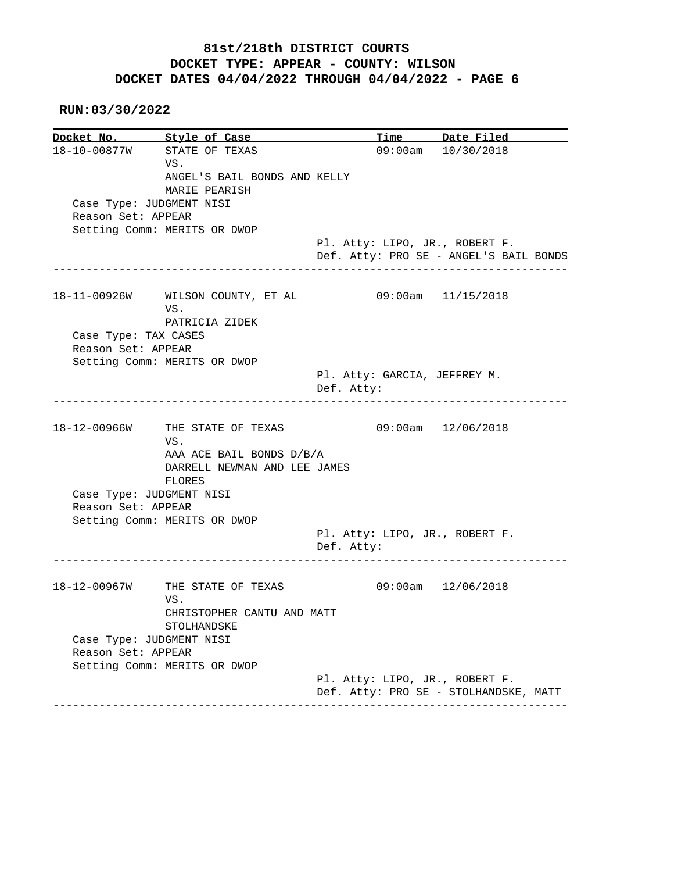**RUN:03/30/2022**

**Docket No.** Style of Case **Time** Date Filed 18-10-00877W STATE OF TEXAS 09:00am 10/30/2018 VS. ANGEL'S BAIL BONDS AND KELLY MARIE PEARISH Case Type: JUDGMENT NISI Reason Set: APPEAR Setting Comm: MERITS OR DWOP Pl. Atty: LIPO, JR., ROBERT F. Def. Atty: PRO SE - ANGEL'S BAIL BONDS ------------------------------------------------------------------------------ 18-11-00926W WILSON COUNTY, ET AL 09:00am 11/15/2018 VS. PATRICIA ZIDEK Case Type: TAX CASES Reason Set: APPEAR Setting Comm: MERITS OR DWOP Pl. Atty: GARCIA, JEFFREY M. Def. Atty: ------------------------------------------------------------------------------ 18-12-00966W THE STATE OF TEXAS 09:00am 12/06/2018 VS. AAA ACE BAIL BONDS D/B/A DARRELL NEWMAN AND LEE JAMES FLORES Case Type: JUDGMENT NISI Reason Set: APPEAR Setting Comm: MERITS OR DWOP Pl. Atty: LIPO, JR., ROBERT F. Def. Atty: ------------------------------------------------------------------------------ 18-12-00967W THE STATE OF TEXAS 09:00am 12/06/2018 VS. CHRISTOPHER CANTU AND MATT STOLHANDSKE Case Type: JUDGMENT NISI Reason Set: APPEAR Setting Comm: MERITS OR DWOP Pl. Atty: LIPO, JR., ROBERT F. Def. Atty: PRO SE - STOLHANDSKE, MATT ------------------------------------------------------------------------------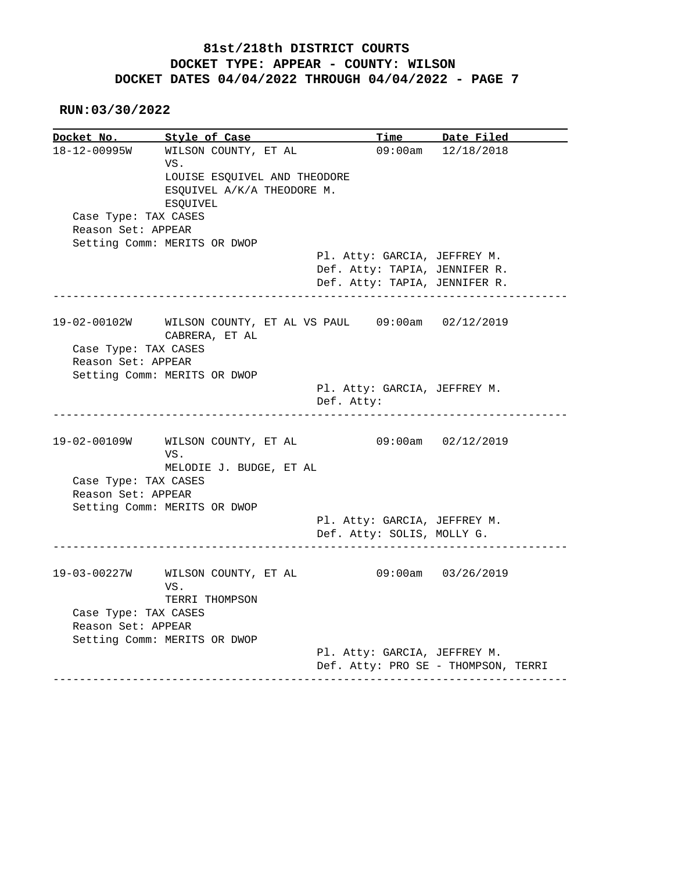**RUN:03/30/2022**

**Docket No.** Style of Case **Time** Date Filed 18-12-00995W WILSON COUNTY, ET AL 09:00am 12/18/2018 VS. LOUISE ESQUIVEL AND THEODORE ESQUIVEL A/K/A THEODORE M. ESQUIVEL Case Type: TAX CASES Reason Set: APPEAR Setting Comm: MERITS OR DWOP Pl. Atty: GARCIA, JEFFREY M. Def. Atty: TAPIA, JENNIFER R. Def. Atty: TAPIA, JENNIFER R. ------------------------------------------------------------------------------ 19-02-00102W WILSON COUNTY, ET AL VS PAUL 09:00am 02/12/2019 CABRERA, ET AL Case Type: TAX CASES Reason Set: APPEAR Setting Comm: MERITS OR DWOP Pl. Atty: GARCIA, JEFFREY M. Def. Atty: ------------------------------------------------------------------------------ 19-02-00109W WILSON COUNTY, ET AL 09:00am 02/12/2019 VS. MELODIE J. BUDGE, ET AL Case Type: TAX CASES Reason Set: APPEAR Setting Comm: MERITS OR DWOP Pl. Atty: GARCIA, JEFFREY M. Def. Atty: SOLIS, MOLLY G. ------------------------------------------------------------------------------ 19-03-00227W WILSON COUNTY, ET AL 09:00am 03/26/2019 VS. TERRI THOMPSON Case Type: TAX CASES Reason Set: APPEAR Setting Comm: MERITS OR DWOP Pl. Atty: GARCIA, JEFFREY M. Def. Atty: PRO SE - THOMPSON, TERRI ------------------------------------------------------------------------------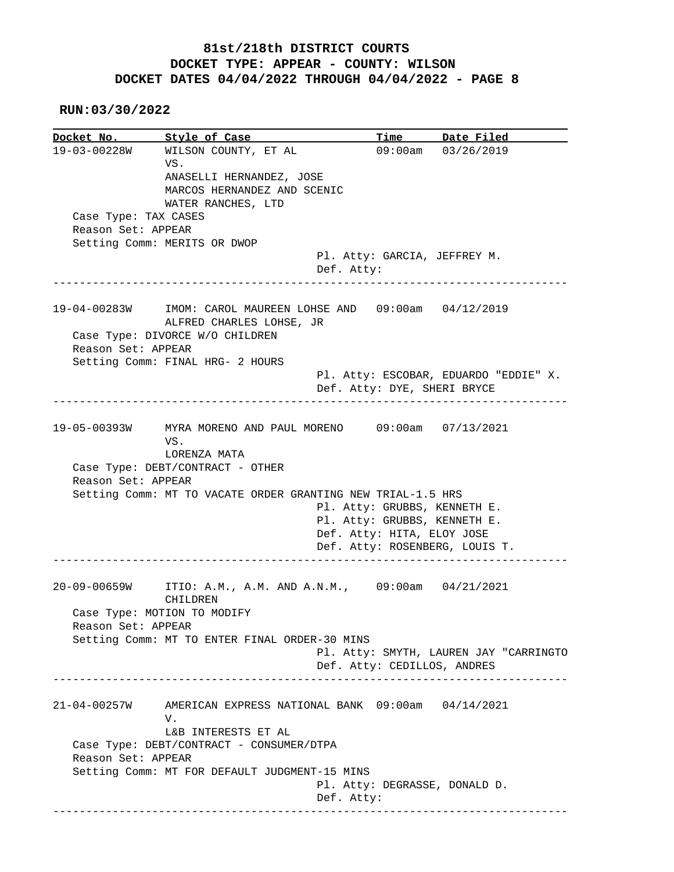**RUN:03/30/2022**

**Docket No.** Style of Case Time Date Filed 19-03-00228W WILSON COUNTY, ET AL 09:00am 03/26/2019 VS. ANASELLI HERNANDEZ, JOSE MARCOS HERNANDEZ AND SCENIC WATER RANCHES, LTD Case Type: TAX CASES Reason Set: APPEAR Setting Comm: MERITS OR DWOP Pl. Atty: GARCIA, JEFFREY M. Def. Atty: ------------------------------------------------------------------------------ 19-04-00283W IMOM: CAROL MAUREEN LOHSE AND 09:00am 04/12/2019 ALFRED CHARLES LOHSE, JR Case Type: DIVORCE W/O CHILDREN Reason Set: APPEAR Setting Comm: FINAL HRG- 2 HOURS Pl. Atty: ESCOBAR, EDUARDO "EDDIE" X. Def. Atty: DYE, SHERI BRYCE ------------------------------------------------------------------------------ 19-05-00393W MYRA MORENO AND PAUL MORENO 09:00am 07/13/2021 VS. LORENZA MATA Case Type: DEBT/CONTRACT - OTHER Reason Set: APPEAR Setting Comm: MT TO VACATE ORDER GRANTING NEW TRIAL-1.5 HRS Pl. Atty: GRUBBS, KENNETH E. Pl. Atty: GRUBBS, KENNETH E. Def. Atty: HITA, ELOY JOSE Def. Atty: ROSENBERG, LOUIS T. ------------------------------------------------------------------------------ 20-09-00659W ITIO: A.M., A.M. AND A.N.M., 09:00am 04/21/2021 CHILDREN Case Type: MOTION TO MODIFY Reason Set: APPEAR Setting Comm: MT TO ENTER FINAL ORDER-30 MINS Pl. Atty: SMYTH, LAUREN JAY "CARRINGTO Def. Atty: CEDILLOS, ANDRES ------------------------------------------------------------------------------ 21-04-00257W AMERICAN EXPRESS NATIONAL BANK 09:00am 04/14/2021 V. L&B INTERESTS ET AL Case Type: DEBT/CONTRACT - CONSUMER/DTPA Reason Set: APPEAR Setting Comm: MT FOR DEFAULT JUDGMENT-15 MINS Pl. Atty: DEGRASSE, DONALD D. Def. Atty: ------------------------------------------------------------------------------